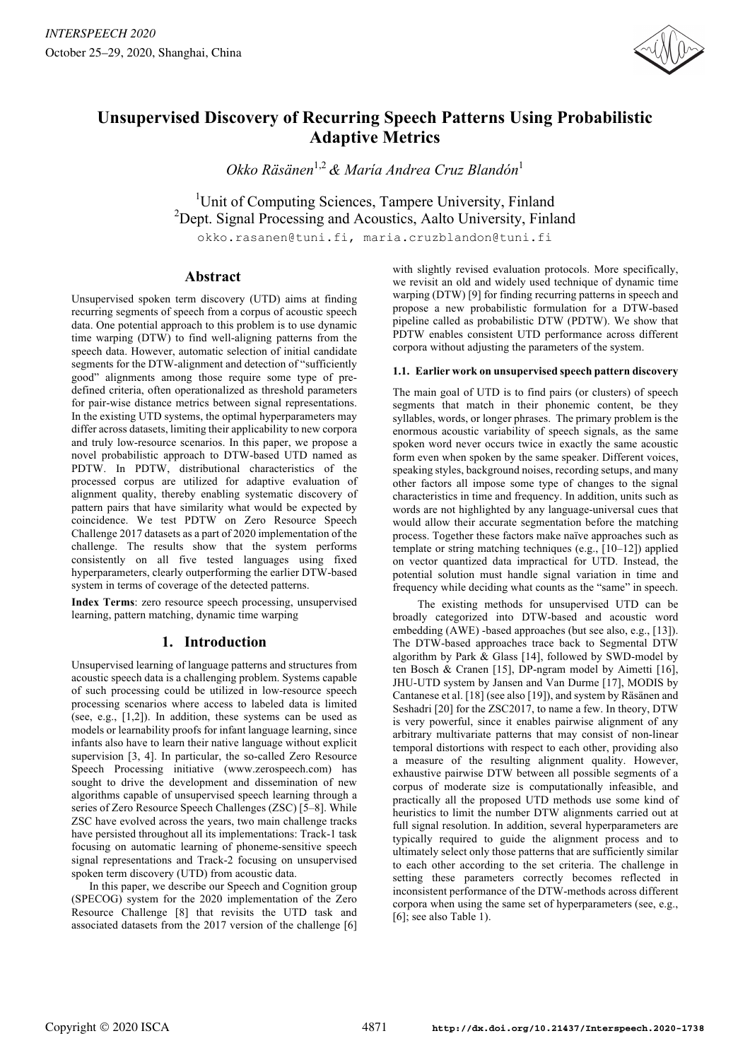

# **Unsupervised Discovery of Recurring Speech Patterns Using Probabilistic Adaptive Metrics**

*Okko Räsänen*1,2 *& María Andrea Cruz Blandón*<sup>1</sup>

<sup>1</sup>Unit of Computing Sciences, Tampere University, Finland <sup>2</sup>Dept. Signal Processing and Acoustics, Aalto University, Finland

okko.rasanen@tuni.fi, maria.cruzblandon@tuni.fi

## **Abstract**

Unsupervised spoken term discovery (UTD) aims at finding recurring segments of speech from a corpus of acoustic speech data. One potential approach to this problem is to use dynamic time warping (DTW) to find well-aligning patterns from the speech data. However, automatic selection of initial candidate segments for the DTW-alignment and detection of "sufficiently good" alignments among those require some type of predefined criteria, often operationalized as threshold parameters for pair-wise distance metrics between signal representations. In the existing UTD systems, the optimal hyperparameters may differ across datasets, limiting their applicability to new corpora and truly low-resource scenarios. In this paper, we propose a novel probabilistic approach to DTW-based UTD named as PDTW. In PDTW, distributional characteristics of the processed corpus are utilized for adaptive evaluation of alignment quality, thereby enabling systematic discovery of pattern pairs that have similarity what would be expected by coincidence. We test PDTW on Zero Resource Speech Challenge 2017 datasets as a part of 2020 implementation of the challenge. The results show that the system performs consistently on all five tested languages using fixed hyperparameters, clearly outperforming the earlier DTW-based system in terms of coverage of the detected patterns.

**Index Terms**: zero resource speech processing, unsupervised learning, pattern matching, dynamic time warping

# **1. Introduction**

Unsupervised learning of language patterns and structures from acoustic speech data is a challenging problem. Systems capable of such processing could be utilized in low-resource speech processing scenarios where access to labeled data is limited (see, e.g., [1,2]). In addition, these systems can be used as models or learnability proofs for infant language learning, since infants also have to learn their native language without explicit supervision [3, 4]. In particular, the so-called Zero Resource Speech Processing initiative (www.zerospeech.com) has sought to drive the development and dissemination of new algorithms capable of unsupervised speech learning through a series of Zero Resource Speech Challenges (ZSC) [5–8]. While ZSC have evolved across the years, two main challenge tracks have persisted throughout all its implementations: Track-1 task focusing on automatic learning of phoneme-sensitive speech signal representations and Track-2 focusing on unsupervised spoken term discovery (UTD) from acoustic data.

In this paper, we describe our Speech and Cognition group (SPECOG) system for the 2020 implementation of the Zero Resource Challenge [8] that revisits the UTD task and associated datasets from the 2017 version of the challenge [6]

with slightly revised evaluation protocols. More specifically, we revisit an old and widely used technique of dynamic time warping (DTW) [9] for finding recurring patterns in speech and propose a new probabilistic formulation for a DTW-based pipeline called as probabilistic DTW (PDTW). We show that PDTW enables consistent UTD performance across different corpora without adjusting the parameters of the system.

### **1.1. Earlier work on unsupervised speech pattern discovery**

The main goal of UTD is to find pairs (or clusters) of speech segments that match in their phonemic content, be they syllables, words, or longer phrases. The primary problem is the enormous acoustic variability of speech signals, as the same spoken word never occurs twice in exactly the same acoustic form even when spoken by the same speaker. Different voices, speaking styles, background noises, recording setups, and many other factors all impose some type of changes to the signal characteristics in time and frequency. In addition, units such as words are not highlighted by any language-universal cues that would allow their accurate segmentation before the matching process. Together these factors make naïve approaches such as template or string matching techniques (e.g., [10–12]) applied on vector quantized data impractical for UTD. Instead, the potential solution must handle signal variation in time and frequency while deciding what counts as the "same" in speech.

The existing methods for unsupervised UTD can be broadly categorized into DTW-based and acoustic word embedding (AWE) -based approaches (but see also, e.g., [13]). The DTW-based approaches trace back to Segmental DTW algorithm by Park & Glass [14], followed by SWD-model by ten Bosch & Cranen [15], DP-ngram model by Aimetti [16], JHU-UTD system by Jansen and Van Durme [17], MODIS by Cantanese et al. [18] (see also [19]), and system by Räsänen and Seshadri [20] for the ZSC2017, to name a few. In theory, DTW is very powerful, since it enables pairwise alignment of any arbitrary multivariate patterns that may consist of non-linear temporal distortions with respect to each other, providing also a measure of the resulting alignment quality. However, exhaustive pairwise DTW between all possible segments of a corpus of moderate size is computationally infeasible, and practically all the proposed UTD methods use some kind of heuristics to limit the number DTW alignments carried out at full signal resolution. In addition, several hyperparameters are typically required to guide the alignment process and to ultimately select only those patterns that are sufficiently similar to each other according to the set criteria. The challenge in setting these parameters correctly becomes reflected in inconsistent performance of the DTW-methods across different corpora when using the same set of hyperparameters (see, e.g., [6]; see also Table 1).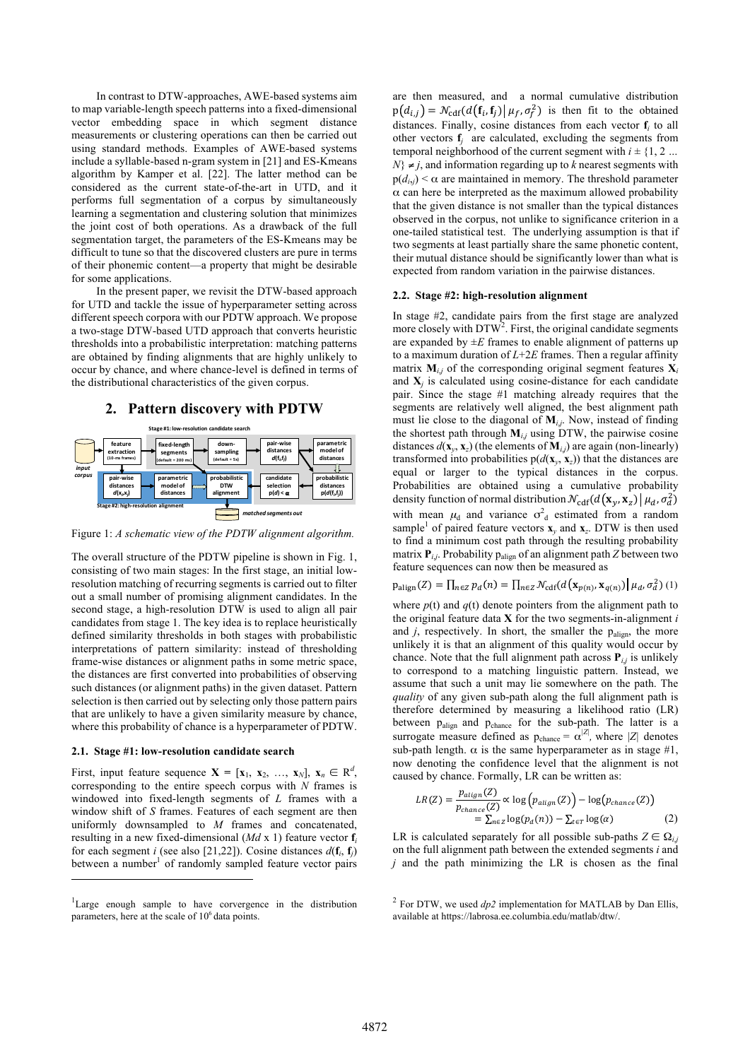In contrast to DTW-approaches, AWE-based systems aim to map variable-length speech patterns into a fixed-dimensional vector embedding space in which segment distance measurements or clustering operations can then be carried out using standard methods. Examples of AWE-based systems include a syllable-based n-gram system in [21] and ES-Kmeans algorithm by Kamper et al. [22]. The latter method can be considered as the current state-of-the-art in UTD, and it performs full segmentation of a corpus by simultaneously learning a segmentation and clustering solution that minimizes the joint cost of both operations. As a drawback of the full segmentation target, the parameters of the ES-Kmeans may be difficult to tune so that the discovered clusters are pure in terms of their phonemic content—a property that might be desirable for some applications.

In the present paper, we revisit the DTW-based approach for UTD and tackle the issue of hyperparameter setting across different speech corpora with our PDTW approach. We propose a two-stage DTW-based UTD approach that converts heuristic thresholds into a probabilistic interpretation: matching patterns are obtained by finding alignments that are highly unlikely to occur by chance, and where chance-level is defined in terms of the distributional characteristics of the given corpus.

## **2. Pattern discovery with PDTW**



Figure 1: *A schematic view of the PDTW alignment algorithm.* 

The overall structure of the PDTW pipeline is shown in Fig. 1, consisting of two main stages: In the first stage, an initial lowresolution matching of recurring segments is carried out to filter out a small number of promising alignment candidates. In the second stage, a high-resolution DTW is used to align all pair candidates from stage 1. The key idea is to replace heuristically defined similarity thresholds in both stages with probabilistic interpretations of pattern similarity: instead of thresholding frame-wise distances or alignment paths in some metric space, the distances are first converted into probabilities of observing such distances (or alignment paths) in the given dataset. Pattern selection is then carried out by selecting only those pattern pairs that are unlikely to have a given similarity measure by chance, where this probability of chance is a hyperparameter of PDTW.

#### **2.1. Stage #1: low-resolution candidate search**

 $\overline{a}$ 

First, input feature sequence  $\mathbf{X} = [\mathbf{x}_1, \mathbf{x}_2, \dots, \mathbf{x}_N], \mathbf{x}_n \in \mathbb{R}^d$ , corresponding to the entire speech corpus with *N* frames is windowed into fixed-length segments of *L* frames with a window shift of *S* frames. Features of each segment are then uniformly downsampled to *M* frames and concatenated, resulting in a new fixed-dimensional (*Md* x 1) feature vector **f***<sup>i</sup>* for each segment *i* (see also [21,22]). Cosine distances  $d(\mathbf{f}_i, \mathbf{f}_i)$ between a number<sup>1</sup> of randomly sampled feature vector pairs are then measured, and a normal cumulative distribution  $p(d_{i,j}) = \mathcal{N}_{\text{cdf}}(d(\mathbf{f}_i, \mathbf{f}_j) | \mu_f, \sigma_f^2)$  is then fit to the obtained distances. Finally, cosine distances from each vector **f***i* to all other vectors **f***j* are calculated, excluding the segments from temporal neighborhood of the current segment with  $i \pm \{1, 2, \ldots\}$  $N$   $\neq$  *j*, and information regarding up to *k* nearest segments with  $p(d_{i,j}) < \alpha$  are maintained in memory. The threshold parameter  $\alpha$  can here be interpreted as the maximum allowed probability that the given distance is not smaller than the typical distances observed in the corpus, not unlike to significance criterion in a one-tailed statistical test. The underlying assumption is that if two segments at least partially share the same phonetic content, their mutual distance should be significantly lower than what is expected from random variation in the pairwise distances.

#### **2.2. Stage #2: high-resolution alignment**

In stage #2, candidate pairs from the first stage are analyzed more closely with  $DTW<sup>2</sup>$ . First, the original candidate segments are expanded by  $\pm E$  frames to enable alignment of patterns up to a maximum duration of *L*+2*E* frames. Then a regular affinity matrix  $M_{ij}$  of the corresponding original segment features  $X_i$ and  $X_i$  is calculated using cosine-distance for each candidate pair. Since the stage #1 matching already requires that the segments are relatively well aligned, the best alignment path must lie close to the diagonal of **M***i*,*j*. Now, instead of finding the shortest path through  $M_{i,j}$  using DTW, the pairwise cosine distances  $d(\mathbf{x}_y, \mathbf{x}_z)$  (the elements of  $\mathbf{M}_{i,j}$ ) are again (non-linearly) transformed into probabilities  $p(d(\mathbf{x}_v, \mathbf{x}_z))$  that the distances are equal or larger to the typical distances in the corpus. Probabilities are obtained using a cumulative probability density function of normal distribution  $\mathcal{N}_{\text{cdf}}(d(\mathbf{x}_y, \mathbf{x}_z) | \mu_d, \sigma_d^2)$ with mean  $\mu_d$  and variance  $\sigma_d^2$  estimated from a random sample<sup>1</sup> of paired feature vectors  $\mathbf{x}_y$  and  $\mathbf{x}_z$ . DTW is then used to find a minimum cost path through the resulting probability matrix  $P_{i,j}$ . Probability  $p_{\text{align}}$  of an alignment path *Z* between two feature sequences can now then be measured as

$$
p_{\text{align}}(Z) = \prod_{n \in Z} p_d(n) = \prod_{n \in Z} \mathcal{N}_{\text{cdf}}(d(\mathbf{x}_{p(n)}, \mathbf{x}_{q(n)}) | \mu_d, \sigma_d^2)
$$
 (1)

where  $p(t)$  and  $q(t)$  denote pointers from the alignment path to the original feature data **X** for the two segments-in-alignment *i* and  $j$ , respectively. In short, the smaller the p<sub>align</sub>, the more unlikely it is that an alignment of this quality would occur by chance. Note that the full alignment path across  $P_{i,j}$  is unlikely to correspond to a matching linguistic pattern. Instead, we assume that such a unit may lie somewhere on the path. The *quality* of any given sub-path along the full alignment path is therefore determined by measuring a likelihood ratio (LR) between p<sub>align</sub> and p<sub>chance</sub> for the sub-path. The latter is a surrogate measure defined as  $p_{change} = \alpha^{|Z|}$ , where |*Z*| denotes sub-path length.  $\alpha$  is the same hyperparameter as in stage #1, now denoting the confidence level that the alignment is not caused by chance. Formally, LR can be written as:

$$
LR(Z) = \frac{p_{align}(Z)}{p_{change}(Z)} \propto \log (p_{align}(Z)) - \log (p_{change}(Z))
$$
  
= 
$$
\sum_{n \in Z} \log (p_d(n)) - \sum_{t \in T} \log(\alpha)
$$
 (2)

LR is calculated separately for all possible sub-paths  $Z \in \Omega_{ij}$ on the full alignment path between the extended segments *i* and *j* and the path minimizing the LR is chosen as the final

<sup>&</sup>lt;sup>1</sup>Large enough sample to have corvergence in the distribution parameters, here at the scale of 10<sup>6</sup> data points.

 $2$  For DTW, we used  $dp2$  implementation for MATLAB by Dan Ellis, available at https://labrosa.ee.columbia.edu/matlab/dtw/.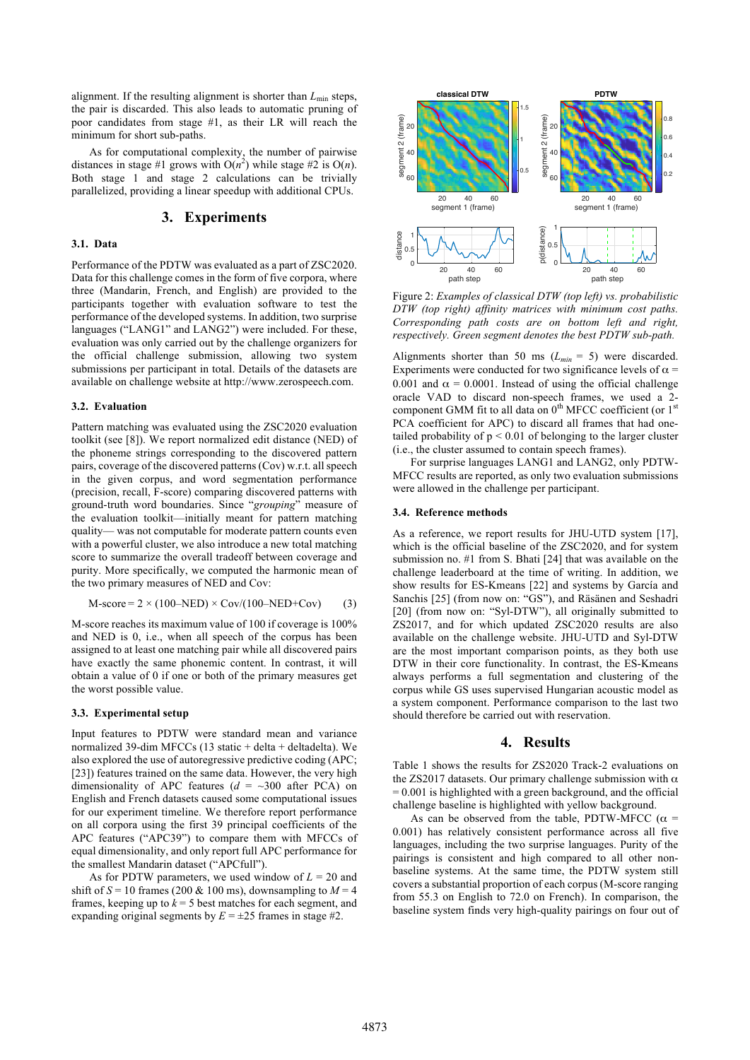alignment. If the resulting alignment is shorter than  $L_{\text{min}}$  steps, the pair is discarded. This also leads to automatic pruning of poor candidates from stage #1, as their LR will reach the minimum for short sub-paths.

As for computational complexity, the number of pairwise distances in stage #1 grows with  $O(n^2)$  while stage #2 is  $O(n)$ . Both stage 1 and stage 2 calculations can be trivially parallelized, providing a linear speedup with additional CPUs.

#### **3. Experiments**

#### **3.1. Data**

Performance of the PDTW was evaluated as a part of ZSC2020. Data for this challenge comes in the form of five corpora, where three (Mandarin, French, and English) are provided to the participants together with evaluation software to test the performance of the developed systems. In addition, two surprise languages ("LANG1" and LANG2") were included. For these, evaluation was only carried out by the challenge organizers for the official challenge submission, allowing two system submissions per participant in total. Details of the datasets are available on challenge website at http://www.zerospeech.com.

#### **3.2. Evaluation**

Pattern matching was evaluated using the ZSC2020 evaluation toolkit (see [8]). We report normalized edit distance (NED) of the phoneme strings corresponding to the discovered pattern pairs, coverage of the discovered patterns (Cov) w.r.t. all speech in the given corpus, and word segmentation performance (precision, recall, F-score) comparing discovered patterns with ground-truth word boundaries. Since "*grouping*" measure of the evaluation toolkit—initially meant for pattern matching quality— was not computable for moderate pattern counts even with a powerful cluster, we also introduce a new total matching score to summarize the overall tradeoff between coverage and purity. More specifically, we computed the harmonic mean of the two primary measures of NED and Cov:

$$
M\text{-score} = 2 \times (100\text{-NED}) \times \text{Cov}/(100\text{-NED} + \text{Cov}) \tag{3}
$$

M-score reaches its maximum value of 100 if coverage is 100% and NED is 0, i.e., when all speech of the corpus has been assigned to at least one matching pair while all discovered pairs have exactly the same phonemic content. In contrast, it will obtain a value of 0 if one or both of the primary measures get the worst possible value.

#### **3.3. Experimental setup**

Input features to PDTW were standard mean and variance normalized 39-dim MFCCs (13 static + delta + deltadelta). We also explored the use of autoregressive predictive coding (APC; [23]) features trained on the same data. However, the very high dimensionality of APC features  $(d = \sim 300$  after PCA) on English and French datasets caused some computational issues for our experiment timeline. We therefore report performance on all corpora using the first 39 principal coefficients of the APC features ("APC39") to compare them with MFCCs of equal dimensionality, and only report full APC performance for the smallest Mandarin dataset ("APCfull").

As for PDTW parameters, we used window of  $L = 20$  and shift of  $S = 10$  frames (200 & 100 ms), downsampling to  $M = 4$ frames, keeping up to  $k = 5$  best matches for each segment, and expanding original segments by  $E = \pm 25$  frames in stage  $\#2$ .



Figure 2: *Examples of classical DTW (top left) vs. probabilistic DTW (top right) affinity matrices with minimum cost paths. Corresponding path costs are on bottom left and right, respectively. Green segment denotes the best PDTW sub-path.* 

Alignments shorter than 50 ms  $(L_{min} = 5)$  were discarded. Experiments were conducted for two significance levels of  $\alpha$  = 0.001 and  $\alpha$  = 0.0001. Instead of using the official challenge oracle VAD to discard non-speech frames, we used a 2 component GMM fit to all data on  $0<sup>th</sup>$  MFCC coefficient (or  $1<sup>st</sup>$ PCA coefficient for APC) to discard all frames that had onetailed probability of  $p \le 0.01$  of belonging to the larger cluster (i.e., the cluster assumed to contain speech frames).

For surprise languages LANG1 and LANG2, only PDTW-MFCC results are reported, as only two evaluation submissions were allowed in the challenge per participant.

#### **3.4. Reference methods**

As a reference, we report results for JHU-UTD system [17], which is the official baseline of the ZSC2020, and for system submission no. #1 from S. Bhati [24] that was available on the challenge leaderboard at the time of writing. In addition, we show results for ES-Kmeans [22] and systems by García and Sanchis [25] (from now on: "GS"), and Räsänen and Seshadri [20] (from now on: "Syl-DTW"), all originally submitted to ZS2017, and for which updated ZSC2020 results are also available on the challenge website. JHU-UTD and Syl-DTW are the most important comparison points, as they both use DTW in their core functionality. In contrast, the ES-Kmeans always performs a full segmentation and clustering of the corpus while GS uses supervised Hungarian acoustic model as a system component. Performance comparison to the last two should therefore be carried out with reservation.

#### **4. Results**

Table 1 shows the results for ZS2020 Track-2 evaluations on the ZS2017 datasets. Our primary challenge submission with  $\alpha$  $= 0.001$  is highlighted with a green background, and the official challenge baseline is highlighted with yellow background.

As can be observed from the table, PDTW-MFCC ( $\alpha$  = 0.001) has relatively consistent performance across all five languages, including the two surprise languages. Purity of the pairings is consistent and high compared to all other nonbaseline systems. At the same time, the PDTW system still covers a substantial proportion of each corpus (M-score ranging from 55.3 on English to 72.0 on French). In comparison, the baseline system finds very high-quality pairings on four out of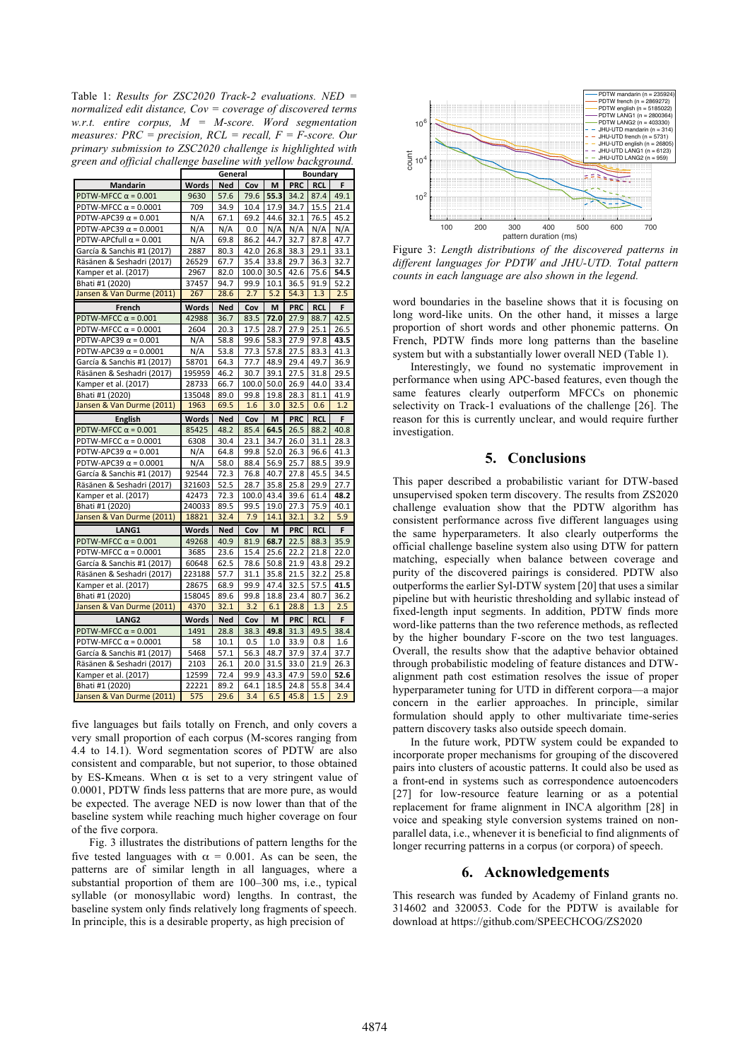Table 1: *Results for ZSC2020 Track-2 evaluations. NED = normalized edit distance, Cov = coverage of discovered terms w.r.t. entire corpus, M = M-score. Word segmentation measures: PRC = precision, RCL = recall, F = F-score. Our primary submission to ZSC2020 challenge is highlighted with green and official challenge baseline with yellow background.* 

|                               | General |            |       |      | <b>Boundary</b> |            |      |
|-------------------------------|---------|------------|-------|------|-----------------|------------|------|
| <b>Mandarin</b>               | Words   | <b>Ned</b> | Cov   | M    | <b>PRC</b>      | <b>RCL</b> | F    |
| PDTW-MFCC $\alpha$ = 0.001    | 9630    | 57.6       | 79.6  | 55.3 | 34.2            | 87.4       | 49.1 |
| PDTW-MFCC $\alpha$ = 0.0001   | 709     | 34.9       | 10.4  | 17.9 | 34.7            | 15.5       | 21.4 |
| PDTW-APC39 $\alpha$ = 0.001   | N/A     | 67.1       | 69.2  | 44.6 | 32.1            | 76.5       | 45.2 |
| PDTW-APC39 $\alpha$ = 0.0001  | N/A     | N/A        | 0.0   | N/A  | N/A             | N/A        | N/A  |
| PDTW-APCfull $\alpha$ = 0.001 | N/A     | 69.8       | 86.2  | 44.7 | 32.7            | 87.8       | 47.7 |
| García & Sanchis #1 (2017)    | 2887    | 80.3       | 42.0  | 26.8 | 38.3            | 29.1       | 33.1 |
| Räsänen & Seshadri (2017)     | 26529   | 67.7       | 35.4  | 33.8 | 29.7            | 36.3       | 32.7 |
| Kamper et al. (2017)          | 2967    | 82.0       | 100.0 | 30.5 | 42.6            | 75.6       | 54.5 |
| Bhati #1 (2020)               | 37457   | 94.7       | 99.9  | 10.1 | 36.5            | 91.9       | 52.2 |
| Jansen & Van Durme (2011)     | 267     | 28.6       | 2.7   | 5.2  | 54.3            | 1.3        | 2.5  |
| French                        | Words   | <b>Ned</b> | Cov   | M    | <b>PRC</b>      | <b>RCL</b> | F    |
| PDTW-MFCC $\alpha$ = 0.001    | 42988   | 36.7       | 83.5  | 72.0 | 27.9            | 88.7       | 42.5 |
| PDTW-MFCC $\alpha$ = 0.0001   | 2604    | 20.3       | 17.5  | 28.7 | 27.9            | 25.1       | 26.5 |
| PDTW-APC39 $\alpha$ = 0.001   | N/A     | 58.8       | 99.6  | 58.3 | 27.9            | 97.8       | 43.5 |
| PDTW-APC39 $\alpha$ = 0.0001  | N/A     | 53.8       | 77.3  | 57.8 | 27.5            | 83.3       | 41.3 |
| García & Sanchis #1 (2017)    | 58701   | 64.3       | 77.7  | 48.9 | 29.4            | 49.7       | 36.9 |
| Räsänen & Seshadri (2017)     | 195959  | 46.2       | 30.7  | 39.1 | 27.5            | 31.8       | 29.5 |
| Kamper et al. (2017)          | 28733   | 66.7       | 100.0 | 50.0 | 26.9            | 44.0       | 33.4 |
| Bhati #1 (2020)               | 135048  | 89.0       | 99.8  | 19.8 | 28.3            | 81.1       | 41.9 |
| Jansen & Van Durme (2011)     | 1963    | 69.5       | 1.6   | 3.0  | 32.5            | 0.6        | 1.2  |
| <b>English</b>                | Words   | Ned        | Cov   | M    | <b>PRC</b>      | <b>RCL</b> | F    |
| PDTW-MFCC $\alpha$ = 0.001    | 85425   | 48.2       | 85.4  | 64.5 | 26.5            | 88.2       | 40.8 |
| PDTW-MFCC $\alpha$ = 0.0001   | 6308    | 30.4       | 23.1  | 34.7 | 26.0            | 31.1       | 28.3 |
| PDTW-APC39 $\alpha$ = 0.001   | N/A     | 64.8       | 99.8  | 52.0 | 26.3            | 96.6       | 41.3 |
| PDTW-APC39 $\alpha$ = 0.0001  | N/A     | 58.0       | 88.4  | 56.9 | 25.7            | 88.5       | 39.9 |
| García & Sanchis #1 (2017)    | 92544   | 72.3       | 76.8  | 40.7 | 27.8            | 45.5       | 34.5 |
| Räsänen & Seshadri (2017)     | 321603  | 52.5       | 28.7  | 35.8 | 25.8            | 29.9       | 27.7 |
| Kamper et al. (2017)          | 42473   | 72.3       | 100.0 | 43.4 | 39.6            | 61.4       | 48.2 |
| Bhati #1 (2020)               | 240033  | 89.5       | 99.5  | 19.0 | 27.3            | 75.9       | 40.1 |
| Jansen & Van Durme (2011)     | 18821   | 32.4       | 7.9   | 14.1 | 32.1            | 3.2        | 5.9  |
| LANG1                         | Words   | Ned        | Cov   | M    | <b>PRC</b>      | <b>RCL</b> | F    |
| PDTW-MFCC $\alpha$ = 0.001    | 49268   | 40.9       | 81.9  | 68.7 | 22.5            | 88.3       | 35.9 |
| PDTW-MFCC $\alpha$ = 0.0001   | 3685    | 23.6       | 15.4  | 25.6 | 22.2            | 21.8       | 22.0 |
| García & Sanchis #1 (2017)    | 60648   | 62.5       | 78.6  | 50.8 | 21.9            | 43.8       | 29.2 |
| Räsänen & Seshadri (2017)     | 223188  | 57.7       | 31.1  | 35.8 | 21.5            | 32.2       | 25.8 |
| Kamper et al. (2017)          | 28675   | 68.9       | 99.9  | 47.4 | 32.5            | 57.5       | 41.5 |
| Bhati #1 (2020)               | 158045  | 89.6       | 99.8  | 18.8 | 23.4            | 80.7       | 36.2 |
| Jansen & Van Durme (2011)     | 4370    | 32.1       | 3.2   | 6.1  | 28.8            | 1.3        | 2.5  |
| LANG <sub>2</sub>             | Words   | Ned        | Cov   | M    | <b>PRC</b>      | RCI.       | F    |
| PDTW-MFCC $\alpha$ = 0.001    | 1491    | 28.8       | 38.3  | 49.8 | 31.3            | 49.5       | 38.4 |
| PDTW-MFCC $\alpha$ = 0.0001   | 58      | 10.1       | 0.5   | 1.0  | 33.9            | 0.8        | 1.6  |
| García & Sanchis #1 (2017)    | 5468    | 57.1       | 56.3  | 48.7 | 37.9            | 37.4       | 37.7 |
| Räsänen & Seshadri (2017)     | 2103    | 26.1       | 20.0  | 31.5 | 33.0            | 21.9       | 26.3 |
| Kamper et al. (2017)          | 12599   | 72.4       | 99.9  | 43.3 | 47.9            | 59.0       | 52.6 |
| Bhati #1 (2020)               |         |            |       | 18.5 | 24.8            |            | 34.4 |
|                               | 22221   | 89.2       | 64.1  |      |                 | 55.8       |      |

five languages but fails totally on French, and only covers a very small proportion of each corpus (M-scores ranging from 4.4 to 14.1). Word segmentation scores of PDTW are also consistent and comparable, but not superior, to those obtained by ES-Kmeans. When  $\alpha$  is set to a very stringent value of 0.0001, PDTW finds less patterns that are more pure, as would be expected. The average NED is now lower than that of the baseline system while reaching much higher coverage on four of the five corpora.

Fig. 3 illustrates the distributions of pattern lengths for the five tested languages with  $\alpha = 0.001$ . As can be seen, the patterns are of similar length in all languages, where a substantial proportion of them are 100–300 ms, i.e., typical syllable (or monosyllabic word) lengths. In contrast, the baseline system only finds relatively long fragments of speech. In principle, this is a desirable property, as high precision of



Figure 3: *Length distributions of the discovered patterns in different languages for PDTW and JHU-UTD. Total pattern counts in each language are also shown in the legend.* 

word boundaries in the baseline shows that it is focusing on long word-like units. On the other hand, it misses a large proportion of short words and other phonemic patterns. On French, PDTW finds more long patterns than the baseline system but with a substantially lower overall NED (Table 1).

Interestingly, we found no systematic improvement in performance when using APC-based features, even though the same features clearly outperform MFCCs on phonemic selectivity on Track-1 evaluations of the challenge [26]. The reason for this is currently unclear, and would require further investigation.

## **5. Conclusions**

This paper described a probabilistic variant for DTW-based unsupervised spoken term discovery. The results from ZS2020 challenge evaluation show that the PDTW algorithm has consistent performance across five different languages using the same hyperparameters. It also clearly outperforms the official challenge baseline system also using DTW for pattern matching, especially when balance between coverage and purity of the discovered pairings is considered. PDTW also outperforms the earlier Syl-DTW system [20] that uses a similar pipeline but with heuristic thresholding and syllabic instead of fixed-length input segments. In addition, PDTW finds more word-like patterns than the two reference methods, as reflected by the higher boundary F-score on the two test languages. Overall, the results show that the adaptive behavior obtained through probabilistic modeling of feature distances and DTWalignment path cost estimation resolves the issue of proper hyperparameter tuning for UTD in different corpora—a major concern in the earlier approaches. In principle, similar formulation should apply to other multivariate time-series pattern discovery tasks also outside speech domain.

In the future work, PDTW system could be expanded to incorporate proper mechanisms for grouping of the discovered pairs into clusters of acoustic patterns. It could also be used as a front-end in systems such as correspondence autoencoders [27] for low-resource feature learning or as a potential replacement for frame alignment in INCA algorithm [28] in voice and speaking style conversion systems trained on nonparallel data, i.e., whenever it is beneficial to find alignments of longer recurring patterns in a corpus (or corpora) of speech.

## **6. Acknowledgements**

This research was funded by Academy of Finland grants no. 314602 and 320053. Code for the PDTW is available for download at https://github.com/SPEECHCOG/ZS2020